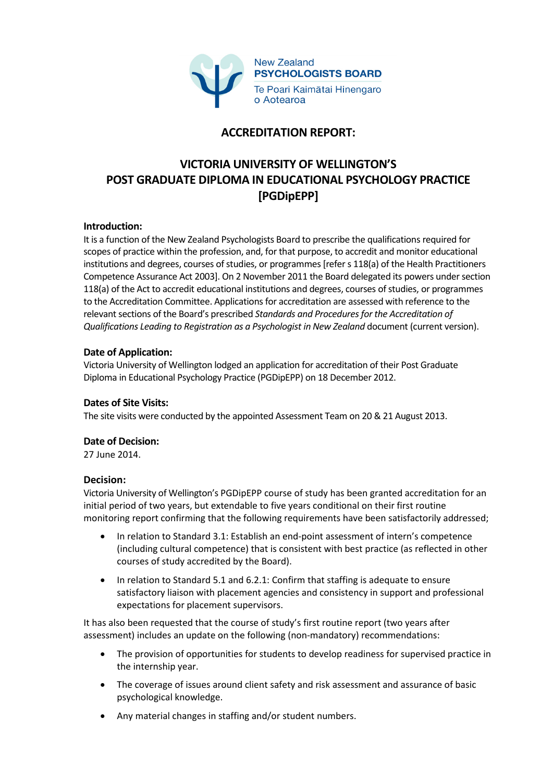

## **ACCREDITATION REPORT:**

# **VICTORIA UNIVERSITY OF WELLINGTON'S POST GRADUATE DIPLOMA IN EDUCATIONAL PSYCHOLOGY PRACTICE [PGDipEPP]**

## **Introduction:**

It is a function of the New Zealand Psychologists Board to prescribe the qualifications required for scopes of practice within the profession, and, for that purpose, to accredit and monitor educational institutions and degrees, courses of studies, or programmes [refer s 118(a) of the Health Practitioners Competence Assurance Act 2003]. On 2 November 2011 the Board delegated its powers under section 118(a) of the Act to accredit educational institutions and degrees, courses of studies, or programmes to the Accreditation Committee. Applications for accreditation are assessed with reference to the relevant sections of the Board's prescribed *Standards and Procedures for the Accreditation of Qualifications Leading to Registration as a Psychologist in New Zealand* document (current version).

## **Date of Application:**

Victoria University of Wellington lodged an application for accreditation of their Post Graduate Diploma in Educational Psychology Practice (PGDipEPP) on 18 December 2012.

#### **Dates of Site Visits:**

The site visits were conducted by the appointed Assessment Team on 20 & 21 August 2013.

## **Date of Decision:**

27 June 2014.

#### **Decision:**

Victoria University of Wellington's PGDipEPP course of study has been granted accreditation for an initial period of two years, but extendable to five years conditional on their first routine monitoring report confirming that the following requirements have been satisfactorily addressed;

- In relation to Standard 3.1: Establish an end-point assessment of intern's competence (including cultural competence) that is consistent with best practice (as reflected in other courses of study accredited by the Board).
- In relation to Standard 5.1 and 6.2.1: Confirm that staffing is adequate to ensure satisfactory liaison with placement agencies and consistency in support and professional expectations for placement supervisors.

It has also been requested that the course of study's first routine report (two years after assessment) includes an update on the following (non-mandatory) recommendations:

- The provision of opportunities for students to develop readiness for supervised practice in the internship year.
- The coverage of issues around client safety and risk assessment and assurance of basic psychological knowledge.
- Any material changes in staffing and/or student numbers.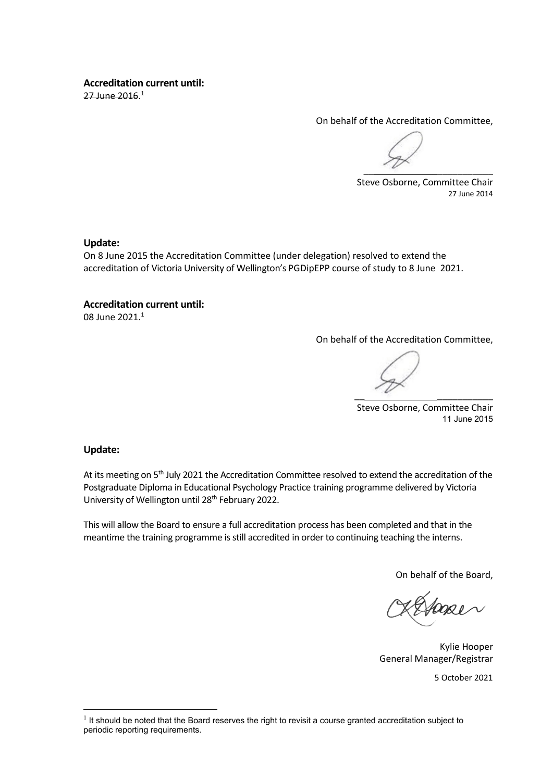## **Accreditation current until:**

27 June 2016.<sup>1</sup>

On behalf of the Accreditation Committee,

 $\overline{\phantom{a}}$ 

Steve Osborne, Committee Chair 27 June 2014

## **Update:**

On 8 June 2015 the Accreditation Committee (under delegation) resolved to extend the accreditation of Victoria University of Wellington's PGDipEPP course of study to 8 June 2021.

## **Accreditation current until:**

08 June 2021.<sup>1</sup>

On behalf of the Accreditation Committee,

 $\sim$ 

Steve Osborne, Committee Chair 11 June 2015

## **Update:**

At its meeting on 5<sup>th</sup> July 2021 the Accreditation Committee resolved to extend the accreditation of the Postgraduate Diploma in Educational Psychology Practice training programme delivered by Victoria University of Wellington until 28<sup>th</sup> February 2022.

This will allow the Board to ensure a full accreditation process has been completed and that in the meantime the training programme is still accredited in order to continuing teaching the interns.

On behalf of the Board,

Kylie Hooper General Manager/Registrar

5 October 2021

<sup>&</sup>lt;sup>1</sup> It should be noted that the Board reserves the right to revisit a course granted accreditation subject to periodic reporting requirements.